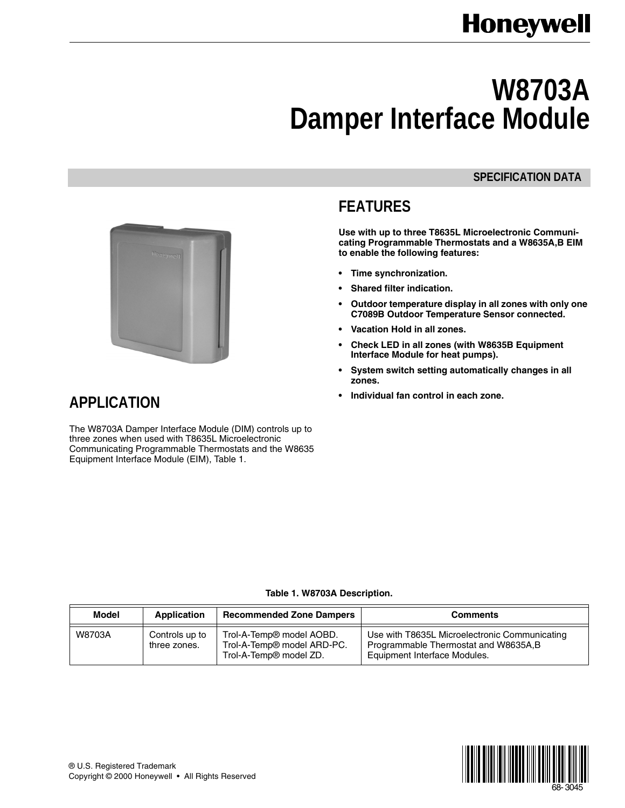# **Honeywell**

# **W8703A Damper Interface Module**

### **SPECIFICATION DATA**

# **FEATURES**

**Use with up to three T8635L Microelectronic Communicating Programmable Thermostats and a W8635A,B EIM to enable the following features:**

- **Time synchronization.**
- **Shared filter indication.**
- **Outdoor temperature display in all zones with only one C7089B Outdoor Temperature Sensor connected.**
- **Vacation Hold in all zones.**
- **Check LED in all zones (with W8635B Equipment Interface Module for heat pumps).**
- **System switch setting automatically changes in all zones.**
- **Individual fan control in each zone.**



## **APPLICATION**

The W8703A Damper Interface Module (DIM) controls up to three zones when used with T8635L Microelectronic Communicating Programmable Thermostats and the W8635 Equipment Interface Module (EIM), Table 1.

### **Table 1. W8703A Description.**

| Model  | Application                    | <b>Recommended Zone Dampers</b>                                                              | <b>Comments</b>                                                                                                        |
|--------|--------------------------------|----------------------------------------------------------------------------------------------|------------------------------------------------------------------------------------------------------------------------|
| W8703A | Controls up to<br>three zones. | Trol-A-Temp® model AOBD.<br>Trol-A-Temp® model ARD-PC.<br>Trol-A-Temp <sup>®</sup> model ZD. | Use with T8635L Microelectronic Communicating<br>Programmable Thermostat and W8635A, B<br>Equipment Interface Modules. |